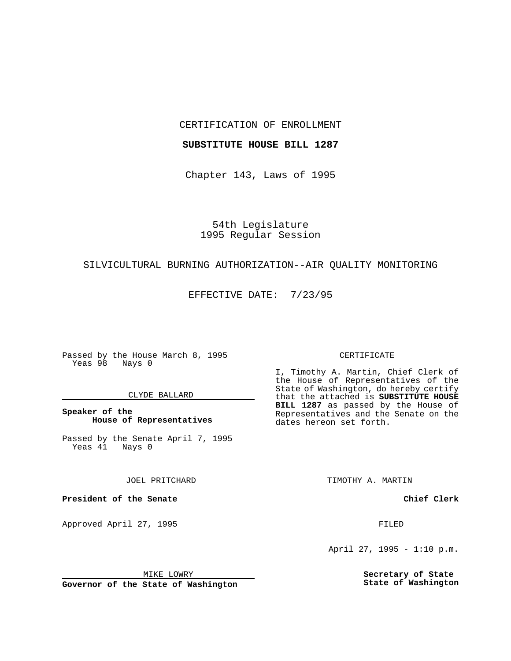CERTIFICATION OF ENROLLMENT

# **SUBSTITUTE HOUSE BILL 1287**

Chapter 143, Laws of 1995

54th Legislature 1995 Regular Session

#### SILVICULTURAL BURNING AUTHORIZATION--AIR QUALITY MONITORING

EFFECTIVE DATE: 7/23/95

Passed by the House March 8, 1995 Yeas 98 Nays 0

### CLYDE BALLARD

# **Speaker of the House of Representatives**

Passed by the Senate April 7, 1995<br>Yeas 41 Nays 0  $Yeas$  41

JOEL PRITCHARD

**President of the Senate**

Approved April 27, 1995 FILED

# CERTIFICATE

I, Timothy A. Martin, Chief Clerk of the House of Representatives of the State of Washington, do hereby certify that the attached is **SUBSTITUTE HOUSE BILL 1287** as passed by the House of Representatives and the Senate on the dates hereon set forth.

TIMOTHY A. MARTIN

**Chief Clerk**

April 27, 1995 - 1:10 p.m.

**Secretary of State State of Washington**

MIKE LOWRY

**Governor of the State of Washington**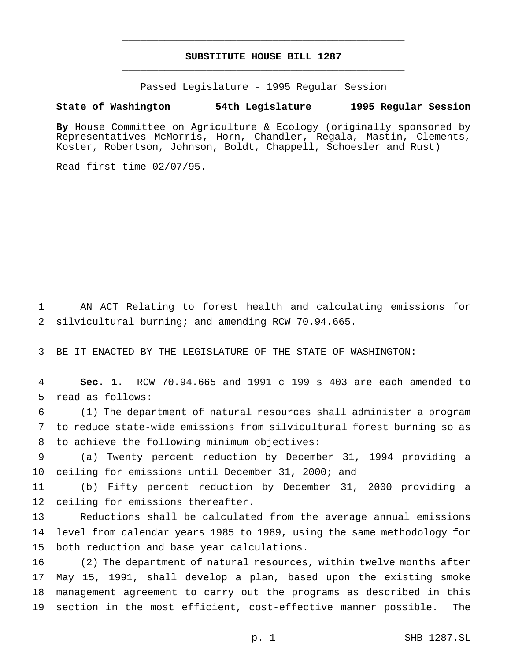# **SUBSTITUTE HOUSE BILL 1287** \_\_\_\_\_\_\_\_\_\_\_\_\_\_\_\_\_\_\_\_\_\_\_\_\_\_\_\_\_\_\_\_\_\_\_\_\_\_\_\_\_\_\_\_\_\_\_

\_\_\_\_\_\_\_\_\_\_\_\_\_\_\_\_\_\_\_\_\_\_\_\_\_\_\_\_\_\_\_\_\_\_\_\_\_\_\_\_\_\_\_\_\_\_\_

Passed Legislature - 1995 Regular Session

### **State of Washington 54th Legislature 1995 Regular Session**

**By** House Committee on Agriculture & Ecology (originally sponsored by Representatives McMorris, Horn, Chandler, Regala, Mastin, Clements, Koster, Robertson, Johnson, Boldt, Chappell, Schoesler and Rust)

Read first time 02/07/95.

 AN ACT Relating to forest health and calculating emissions for silvicultural burning; and amending RCW 70.94.665.

BE IT ENACTED BY THE LEGISLATURE OF THE STATE OF WASHINGTON:

 **Sec. 1.** RCW 70.94.665 and 1991 c 199 s 403 are each amended to read as follows:

 (1) The department of natural resources shall administer a program to reduce state-wide emissions from silvicultural forest burning so as to achieve the following minimum objectives:

 (a) Twenty percent reduction by December 31, 1994 providing a ceiling for emissions until December 31, 2000; and

 (b) Fifty percent reduction by December 31, 2000 providing a ceiling for emissions thereafter.

 Reductions shall be calculated from the average annual emissions level from calendar years 1985 to 1989, using the same methodology for both reduction and base year calculations.

 (2) The department of natural resources, within twelve months after May 15, 1991, shall develop a plan, based upon the existing smoke management agreement to carry out the programs as described in this section in the most efficient, cost-effective manner possible. The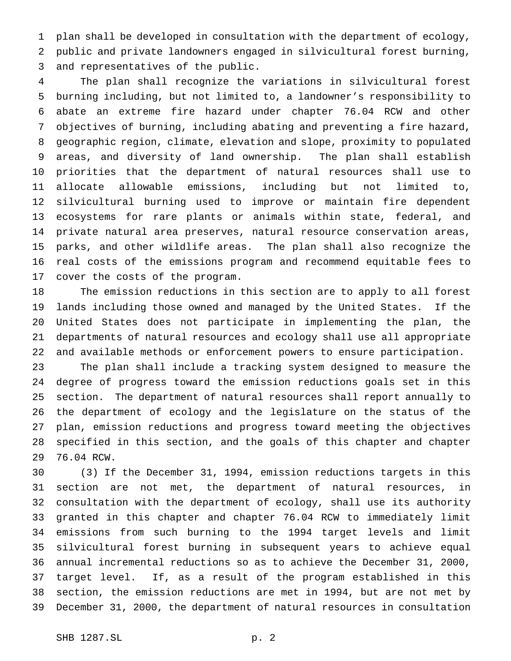plan shall be developed in consultation with the department of ecology, public and private landowners engaged in silvicultural forest burning, and representatives of the public.

 The plan shall recognize the variations in silvicultural forest burning including, but not limited to, a landowner's responsibility to abate an extreme fire hazard under chapter 76.04 RCW and other objectives of burning, including abating and preventing a fire hazard, geographic region, climate, elevation and slope, proximity to populated areas, and diversity of land ownership. The plan shall establish priorities that the department of natural resources shall use to allocate allowable emissions, including but not limited to, silvicultural burning used to improve or maintain fire dependent ecosystems for rare plants or animals within state, federal, and private natural area preserves, natural resource conservation areas, parks, and other wildlife areas. The plan shall also recognize the real costs of the emissions program and recommend equitable fees to cover the costs of the program.

 The emission reductions in this section are to apply to all forest lands including those owned and managed by the United States. If the United States does not participate in implementing the plan, the departments of natural resources and ecology shall use all appropriate and available methods or enforcement powers to ensure participation.

 The plan shall include a tracking system designed to measure the degree of progress toward the emission reductions goals set in this section. The department of natural resources shall report annually to the department of ecology and the legislature on the status of the plan, emission reductions and progress toward meeting the objectives specified in this section, and the goals of this chapter and chapter 76.04 RCW.

 (3) If the December 31, 1994, emission reductions targets in this section are not met, the department of natural resources, in consultation with the department of ecology, shall use its authority granted in this chapter and chapter 76.04 RCW to immediately limit emissions from such burning to the 1994 target levels and limit silvicultural forest burning in subsequent years to achieve equal annual incremental reductions so as to achieve the December 31, 2000, target level. If, as a result of the program established in this section, the emission reductions are met in 1994, but are not met by December 31, 2000, the department of natural resources in consultation